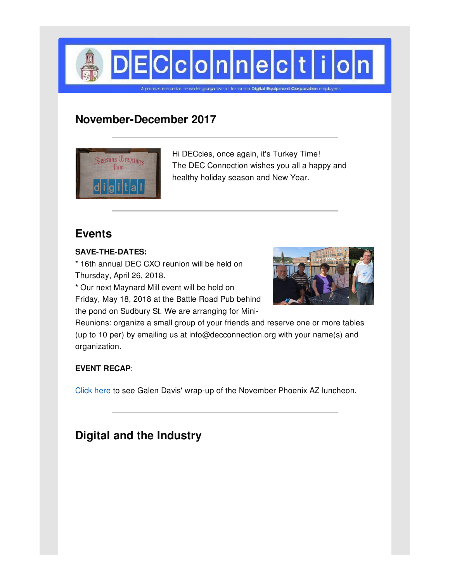

# **November-December 2017**



Hi DECcies, once again, it's Turkey Time! The DEC Connection wishes you all a happy and healthy holiday season and New Year.

# **Events**

#### **SAVE-THE-DATES:**

\* 16th annual DEC CXO reunion will be held on Thursday, April 26, 2018.

\* Our next Maynard Mill event will be held on

Friday, May 18, 2018 at the Battle Road Pub behind the pond on Sudbury St. We are arranging for Mini-



Reunions: organize a small group of your friends and reserve one or more tables (up to 10 per) by emailing us at info@decconnection.org with your name(s) and organization.

#### **EVENT RECAP**:

[Click](http://www.decconnection.org/arizona.htm) here to see Galen Davis' wrap-up of the November Phoenix AZ luncheon.

# **Digital and the Industry**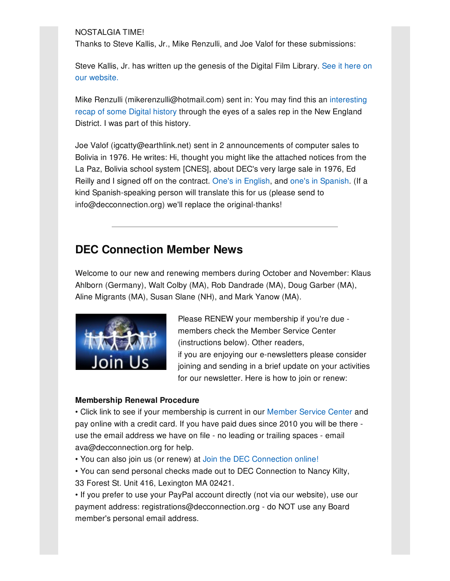NOSTALGIA TIME!

Thanks to Steve Kallis, Jr., Mike Renzulli, and Joe Valof for these submissions:

Steve Kallis, Jr. has written up the genesis of the Digital Film Library. See it here on our [website.](http://www.decconnection.org/digital-film-library.htm)

Mike Renzulli [\(mikerenzulli@hotmail.com\)](http://www.decconnection.org/documents/DEC_farewell_letter_Jan1994-ToddSorenson.pdf) sent in: You may find this an interesting recap of some Digital history through the eyes of a sales rep in the New England District. I was part of this history.

Joe Valof (igcatty@earthlink.net) sent in 2 announcements of computer sales to Bolivia in 1976. He writes: Hi, thought you might like the attached notices from the La Paz, Bolivia school system [CNES], about DEC's very large sale in 1976, Ed Reilly and I signed off on the contract. One's in [English](http://www.decconnection.org/documents/JoeValof-CNES-notice.jpg), and one's in [Spanish](http://www.decconnection.org/documents/JoeValof-LaPaz-notice.jpg). (If a kind Spanish-speaking person will translate this for us (please send to info@decconnection.org) we'll replace the original-thanks!

### **DEC Connection Member News**

Welcome to our new and renewing members during October and November: Klaus Ahlborn (Germany), Walt Colby (MA), Rob Dandrade (MA), Doug Garber (MA), Aline Migrants (MA), Susan Slane (NH), and Mark Yanow (MA).



Please RENEW your membership if you're due members check the Member Service Center (instructions below). Other readers, if you are enjoying our e-newsletters please consider joining and sending in a brief update on your activities for our newsletter. Here is how to join or renew:

#### **Membership Renewal Procedure**

• Click link to see if your membership is current in our [Member](http://www.decconnection.org/msclogin.php) Service Center and pay online with a credit card. If you have paid dues since 2010 you will be there use the email address we have on file - no leading or trailing spaces - email ava@decconnection.org for help.

• You can also join us (or renew) at Join the DEC [Connection](http://www.decconnection.org/join-online.htm) online!

• You can send personal checks made out to DEC Connection to Nancy Kilty, 33 Forest St. Unit 416, Lexington MA 02421.

• If you prefer to use your PayPal account directly (not via our website), use our payment address: registrations@decconnection.org - do NOT use any Board member's personal email address.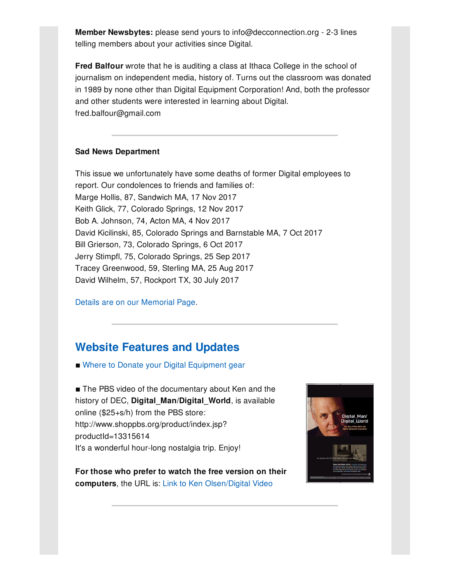**Member Newsbytes:** please send yours to info@decconnection.org - 2-3 lines telling members about your activities since Digital.

**Fred Balfour** wrote that he is auditing a class at Ithaca College in the school of journalism on independent media, history of. Turns out the classroom was donated in 1989 by none other than Digital Equipment Corporation! And, both the professor and other students were interested in learning about Digital. fred.balfour@gmail.com

#### **Sad News Department**

This issue we unfortunately have some deaths of former Digital employees to report. Our condolences to friends and families of: Marge Hollis, 87, Sandwich MA, 17 Nov 2017 Keith Glick, 77, Colorado Springs, 12 Nov 2017 Bob A. Johnson, 74, Acton MA, 4 Nov 2017 David Kicilinski, 85, Colorado Springs and Barnstable MA, 7 Oct 2017 Bill Grierson, 73, Colorado Springs, 6 Oct 2017 Jerry Stimpfl, 75, Colorado Springs, 25 Sep 2017 Tracey Greenwood, 59, Sterling MA, 25 Aug 2017 David Wilhelm, 57, Rockport TX, 30 July 2017

Details are on our [Memorial](http://www.decconnection.org/memorials.htm) Page.

### **Website [Features](http://www.decconnection.org) and Updates**

■ Where to Donate your Digital [Equipment](http://www.decconnection.org/DECdonations.htm) gear

■ The PBS video of the documentary about Ken and the history of DEC, **Digital\_Man/Digital\_World**, is available online (\$25+s/h) from the PBS store: http://www.shoppbs.org/product/index.jsp? productId=13315614 It's a wonderful hour-long nostalgia trip. Enjoy!

**For those who prefer to watch the free version on their computers**, the URL is: Link to Ken [Olsen/Digital](http://video.wfyi.org/video/2282149336/) Video